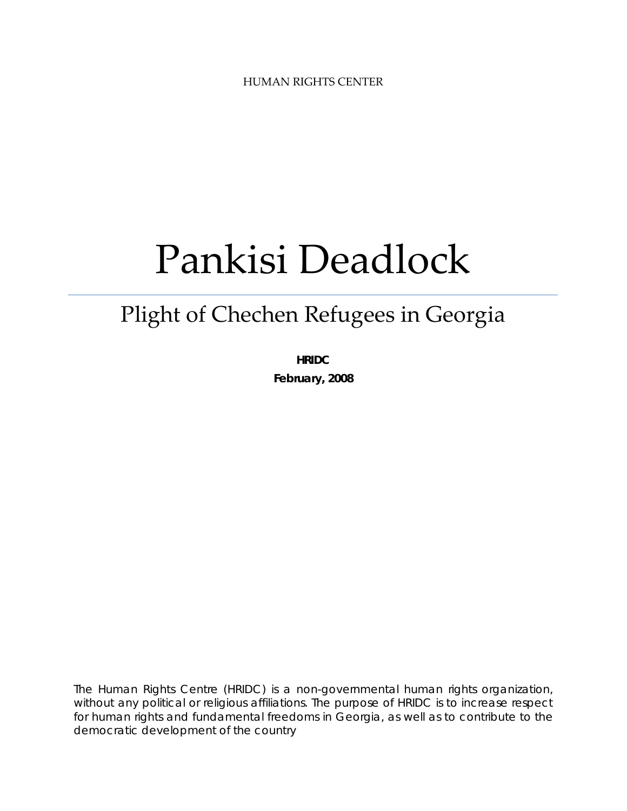HUMAN RIGHTS CENTER

# Pankisi Deadlock

# Plight of Chechen Refugees in Georgia

**HRIDC February, 2008** 

The Human Rights Centre (HRIDC) is a non-governmental human rights organization, without any political or religious affiliations. The purpose of HRIDC is to increase respect for human rights and fundamental freedoms in Georgia, as well as to contribute to the democratic development of the country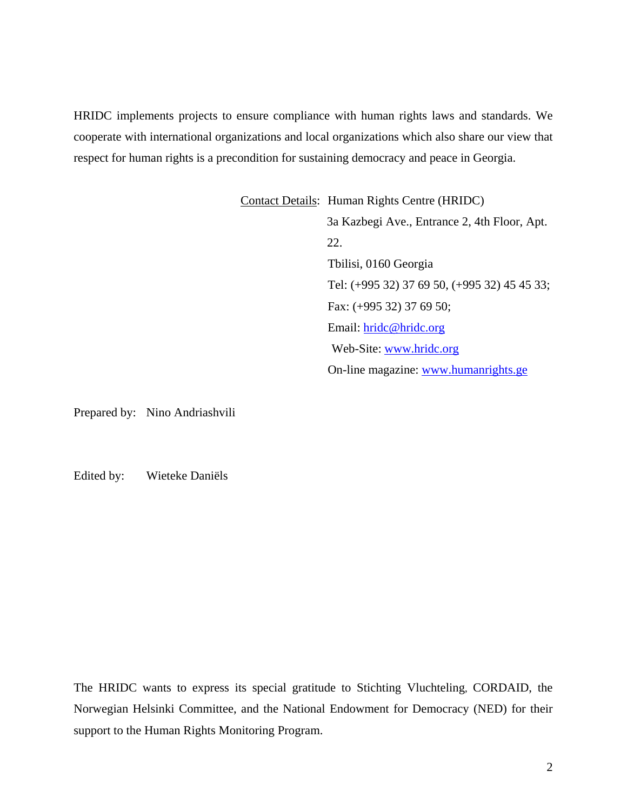HRIDC implements projects to ensure compliance with human rights laws and standards. We cooperate with international organizations and local organizations which also share our view that respect for human rights is a precondition for sustaining democracy and peace in Georgia.

> Contact Details: Human Rights Centre (HRIDC) 3a Kazbegi Ave., Entrance 2, 4th Floor, Apt. 22. Tbilisi, 0160 Georgia Tel: (+995 32) 37 69 50, (+995 32) 45 45 33; Fax: (+995 32) 37 69 50; Email: [hridc@hridc.org](mailto:hridc@hridc.org) Web-Site: [www.hridc.org](http://www.hridc.org/) On-line magazine: [www.humanrights.ge](http://www.humanrights.ge/)

Prepared by: Nino Andriashvili

Edited by: Wieteke Daniëls

The HRIDC wants to express its special gratitude to Stichting Vluchteling, CORDAID, the Norwegian Helsinki Committee, and the National Endowment for Democracy (NED) for their support to the Human Rights Monitoring Program.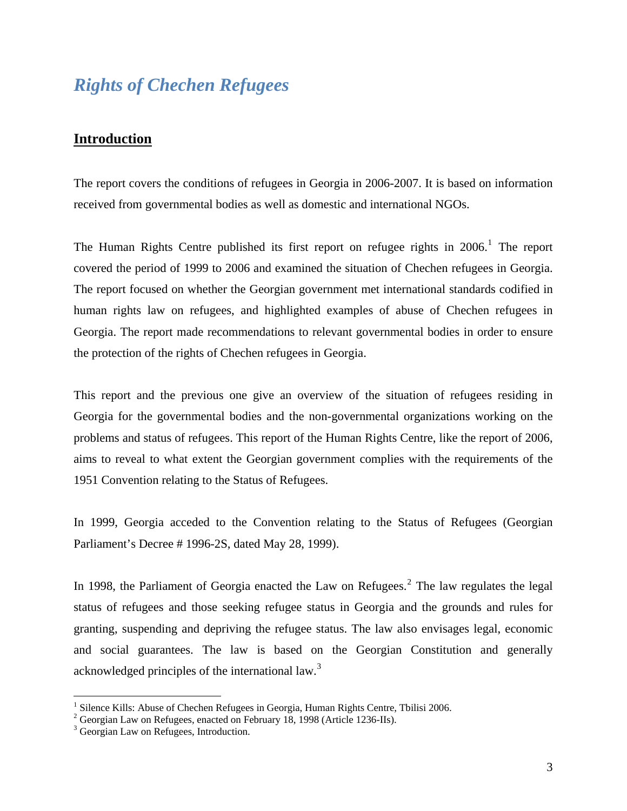# *Rights of Chechen Refugees*

# **Introduction**

The report covers the conditions of refugees in Georgia in 2006-2007. It is based on information received from governmental bodies as well as domestic and international NGOs.

The Human Rights Centre published its first report on refugee rights in  $2006$ .<sup>[1](#page-2-0)</sup> The report covered the period of 1999 to 2006 and examined the situation of Chechen refugees in Georgia. The report focused on whether the Georgian government met international standards codified in human rights law on refugees, and highlighted examples of abuse of Chechen refugees in Georgia. The report made recommendations to relevant governmental bodies in order to ensure the protection of the rights of Chechen refugees in Georgia.

This report and the previous one give an overview of the situation of refugees residing in Georgia for the governmental bodies and the non-governmental organizations working on the problems and status of refugees. This report of the Human Rights Centre, like the report of 2006, aims to reveal to what extent the Georgian government complies with the requirements of the 1951 Convention relating to the Status of Refugees.

In 1999, Georgia acceded to the Convention relating to the Status of Refugees (Georgian Parliament's Decree # 1996-2S, dated May 28, 1999).

In 1998, the Parliament of Georgia enacted the Law on Refugees.<sup>[2](#page-2-1)</sup> The law regulates the legal status of refugees and those seeking refugee status in Georgia and the grounds and rules for granting, suspending and depriving the refugee status. The law also envisages legal, economic and social guarantees. The law is based on the Georgian Constitution and generally acknowledged principles of the international law.<sup>[3](#page-2-2)</sup>

<span id="page-2-0"></span><sup>&</sup>lt;sup>1</sup> Silence Kills: Abuse of Chechen Refugees in Georgia, Human Rights Centre, Tbilisi 2006.<br><sup>2</sup> Georgian Law on Refugees, apasted on February 18, 1008 (Article 1236 He).

<span id="page-2-1"></span> $\degree$  Georgian Law on Refugees, enacted on February 18, 1998 (Article 1236-IIs).

<span id="page-2-2"></span><sup>&</sup>lt;sup>3</sup> Georgian Law on Refugees, Introduction.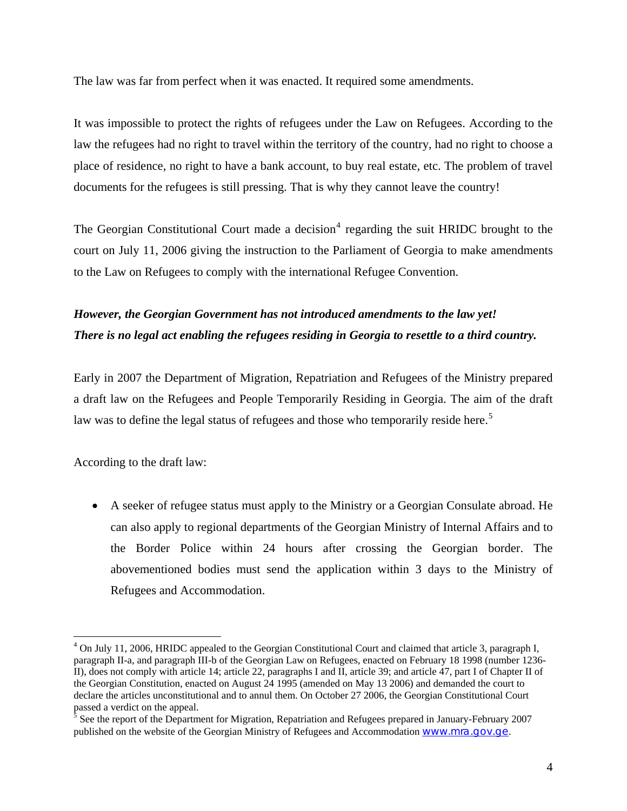The law was far from perfect when it was enacted. It required some amendments.

It was impossible to protect the rights of refugees under the Law on Refugees. According to the law the refugees had no right to travel within the territory of the country, had no right to choose a place of residence, no right to have a bank account, to buy real estate, etc. The problem of travel documents for the refugees is still pressing. That is why they cannot leave the country!

The Georgian Constitutional Court made a decision<sup>[4](#page-3-0)</sup> regarding the suit HRIDC brought to the court on July 11, 2006 giving the instruction to the Parliament of Georgia to make amendments to the Law on Refugees to comply with the international Refugee Convention.

# *However, the Georgian Government has not introduced amendments to the law yet! There is no legal act enabling the refugees residing in Georgia to resettle to a third country.*

Early in 2007 the Department of Migration, Repatriation and Refugees of the Ministry prepared a draft law on the Refugees and People Temporarily Residing in Georgia. The aim of the draft law was to define the legal status of refugees and those who temporarily reside here.<sup>[5](#page-3-1)</sup>

According to the draft law:

 $\overline{a}$ 

• A seeker of refugee status must apply to the Ministry or a Georgian Consulate abroad. He can also apply to regional departments of the Georgian Ministry of Internal Affairs and to the Border Police within 24 hours after crossing the Georgian border. The abovementioned bodies must send the application within 3 days to the Ministry of Refugees and Accommodation.

<span id="page-3-0"></span><sup>&</sup>lt;sup>4</sup> On July 11, 2006, HRIDC appealed to the Georgian Constitutional Court and claimed that article 3, paragraph I, paragraph II-a, and paragraph III-b of the Georgian Law on Refugees, enacted on February 18 1998 (number 1236- II), does not comply with article 14; article 22, paragraphs I and II, article 39; and article 47, part I of Chapter II of the Georgian Constitution, enacted on August 24 1995 (amended on May 13 2006) and demanded the court to declare the articles unconstitutional and to annul them. On October 27 2006, the Georgian Constitutional Court passed a verdict on the appeal.

<span id="page-3-1"></span> $\frac{5}{5}$  See the report of the Department for Migration, Repatriation and Refugees prepared in January-February 2007 published on the website of the Georgian Ministry of Refugees and Accommodation [www.mra.gov.ge](http://www.mra.gov.ge/).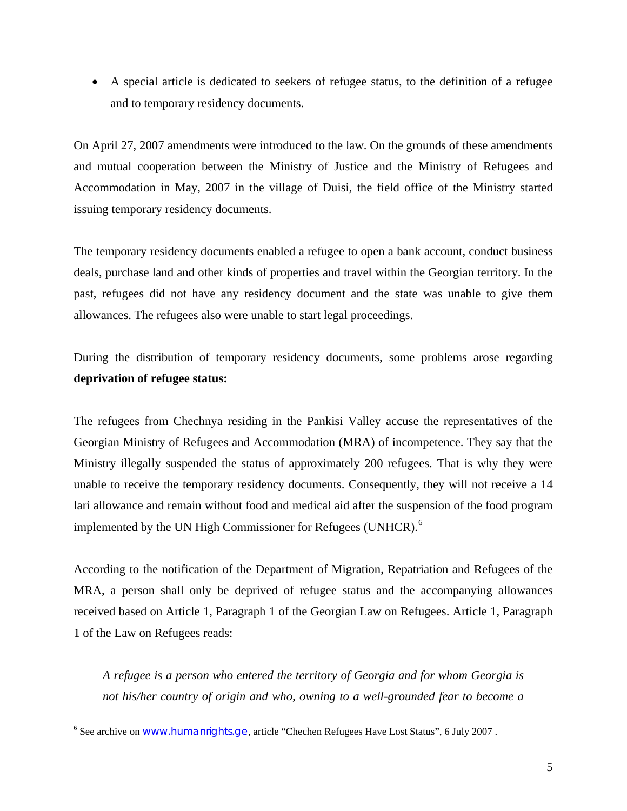• A special article is dedicated to seekers of refugee status, to the definition of a refugee and to temporary residency documents.

On April 27, 2007 amendments were introduced to the law. On the grounds of these amendments and mutual cooperation between the Ministry of Justice and the Ministry of Refugees and Accommodation in May, 2007 in the village of Duisi, the field office of the Ministry started issuing temporary residency documents.

The temporary residency documents enabled a refugee to open a bank account, conduct business deals, purchase land and other kinds of properties and travel within the Georgian territory. In the past, refugees did not have any residency document and the state was unable to give them allowances. The refugees also were unable to start legal proceedings.

During the distribution of temporary residency documents, some problems arose regarding **deprivation of refugee status:** 

The refugees from Chechnya residing in the Pankisi Valley accuse the representatives of the Georgian Ministry of Refugees and Accommodation (MRA) of incompetence. They say that the Ministry illegally suspended the status of approximately 200 refugees. That is why they were unable to receive the temporary residency documents. Consequently, they will not receive a 14 lari allowance and remain without food and medical aid after the suspension of the food program implemented by the UN High Commissioner for Refugees (UNHCR).<sup>[6](#page-4-0)</sup>

According to the notification of the Department of Migration, Repatriation and Refugees of the MRA, a person shall only be deprived of refugee status and the accompanying allowances received based on Article 1, Paragraph 1 of the Georgian Law on Refugees. Article 1, Paragraph 1 of the Law on Refugees reads:

*A refugee is a person who entered the territory of Georgia and for whom Georgia is not his/her country of origin and who, owning to a well-grounded fear to become a* 

<span id="page-4-0"></span><sup>&</sup>lt;sup>6</sup> See archive on WWW.humanrights.ge, article "Chechen Refugees Have Lost Status", 6 July 2007.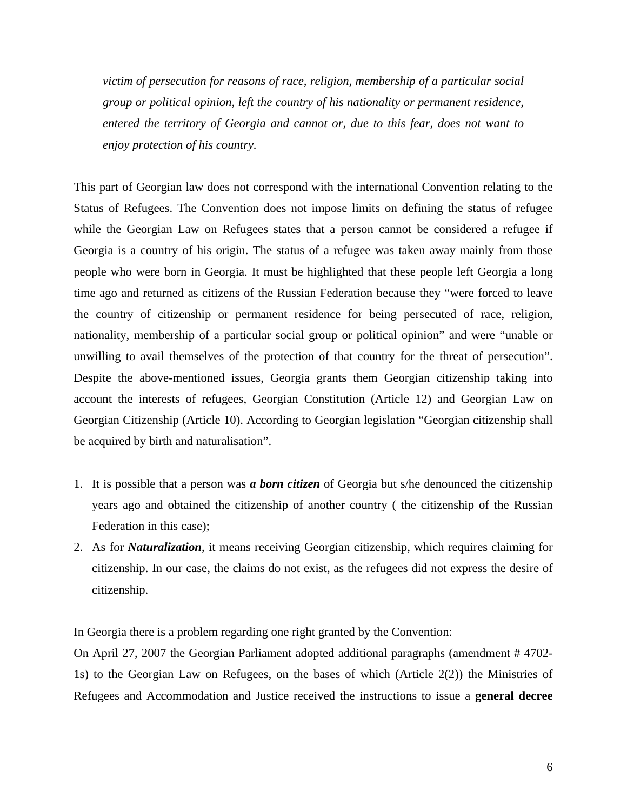*victim of persecution for reasons of race, religion, membership of a particular social group or political opinion, left the country of his nationality or permanent residence, entered the territory of Georgia and cannot or, due to this fear, does not want to enjoy protection of his country.* 

This part of Georgian law does not correspond with the international Convention relating to the Status of Refugees. The Convention does not impose limits on defining the status of refugee while the Georgian Law on Refugees states that a person cannot be considered a refugee if Georgia is a country of his origin. The status of a refugee was taken away mainly from those people who were born in Georgia. It must be highlighted that these people left Georgia a long time ago and returned as citizens of the Russian Federation because they "were forced to leave the country of citizenship or permanent residence for being persecuted of race, religion, nationality, membership of a particular social group or political opinion" and were "unable or unwilling to avail themselves of the protection of that country for the threat of persecution". Despite the above-mentioned issues, Georgia grants them Georgian citizenship taking into account the interests of refugees, Georgian Constitution (Article 12) and Georgian Law on Georgian Citizenship (Article 10). According to Georgian legislation "Georgian citizenship shall be acquired by birth and naturalisation".

- 1. It is possible that a person was *a born citizen* of Georgia but s/he denounced the citizenship years ago and obtained the citizenship of another country ( the citizenship of the Russian Federation in this case);
- 2. As for *Naturalization*, it means receiving Georgian citizenship, which requires claiming for citizenship. In our case, the claims do not exist, as the refugees did not express the desire of citizenship.

In Georgia there is a problem regarding one right granted by the Convention:

On April 27, 2007 the Georgian Parliament adopted additional paragraphs (amendment # 4702- 1s) to the Georgian Law on Refugees, on the bases of which (Article 2(2)) the Ministries of Refugees and Accommodation and Justice received the instructions to issue a **general decree**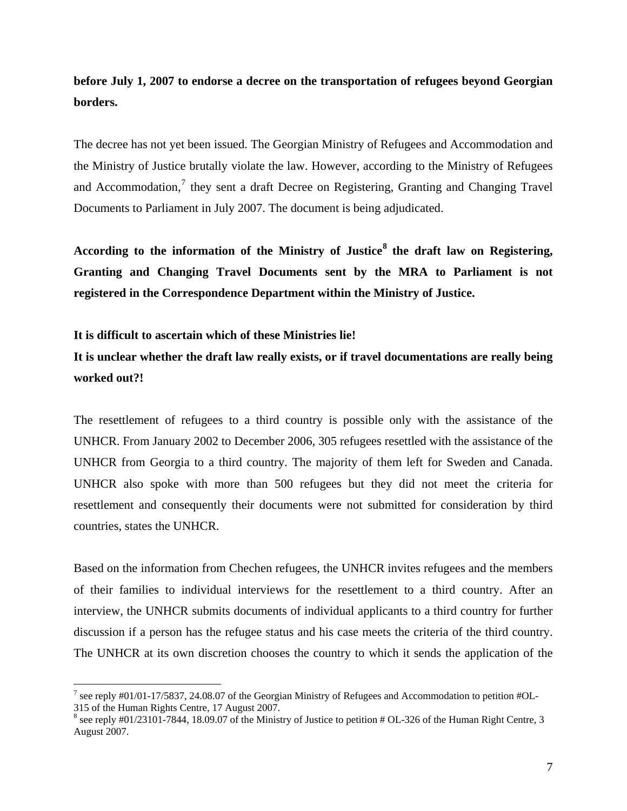# **before July 1, 2007 to endorse a decree on the transportation of refugees beyond Georgian borders.**

The decree has not yet been issued. The Georgian Ministry of Refugees and Accommodation and the Ministry of Justice brutally violate the law. However, according to the Ministry of Refugees and Accommodation, $7$  they sent a draft Decree on Registering, Granting and Changing Travel Documents to Parliament in July 2007. The document is being adjudicated.

**According to the information of the Ministry of Justice[8](#page-6-1) the draft law on Registering, Granting and Changing Travel Documents sent by the MRA to Parliament is not registered in the Correspondence Department within the Ministry of Justice.** 

#### **It is difficult to ascertain which of these Ministries lie!**

<u>.</u>

# **It is unclear whether the draft law really exists, or if travel documentations are really being worked out?!**

The resettlement of refugees to a third country is possible only with the assistance of the UNHCR. From January 2002 to December 2006, 305 refugees resettled with the assistance of the UNHCR from Georgia to a third country. The majority of them left for Sweden and Canada. UNHCR also spoke with more than 500 refugees but they did not meet the criteria for resettlement and consequently their documents were not submitted for consideration by third countries, states the UNHCR.

Based on the information from Chechen refugees, the UNHCR invites refugees and the members of their families to individual interviews for the resettlement to a third country. After an interview, the UNHCR submits documents of individual applicants to a third country for further discussion if a person has the refugee status and his case meets the criteria of the third country. The UNHCR at its own discretion chooses the country to which it sends the application of the

<span id="page-6-0"></span><sup>&</sup>lt;sup>7</sup> see reply #01/01-17/5837, 24.08.07 of the Georgian Ministry of Refugees and Accommodation to petition #OL-315 of the Human Rights Centre, 17 August 2007.

<span id="page-6-1"></span> $8$  see reply #01/23101-7844, 18.09.07 of the Ministry of Justice to petition # OL-326 of the Human Right Centre, 3 August 2007.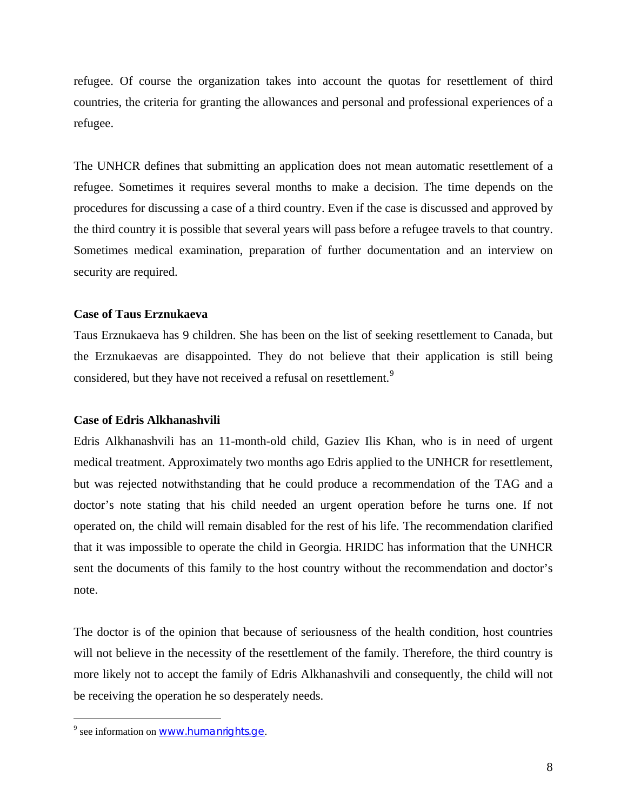refugee. Of course the organization takes into account the quotas for resettlement of third countries, the criteria for granting the allowances and personal and professional experiences of a refugee.

The UNHCR defines that submitting an application does not mean automatic resettlement of a refugee. Sometimes it requires several months to make a decision. The time depends on the procedures for discussing a case of a third country. Even if the case is discussed and approved by the third country it is possible that several years will pass before a refugee travels to that country. Sometimes medical examination, preparation of further documentation and an interview on security are required.

#### **Case of Taus Erznukaeva**

Taus Erznukaeva has 9 children. She has been on the list of seeking resettlement to Canada, but the Erznukaevas are disappointed. They do not believe that their application is still being considered, but they have not received a refusal on resettlement.<sup>[9](#page-7-0)</sup>

#### **Case of Edris Alkhanashvili**

Edris Alkhanashvili has an 11-month-old child, Gaziev Ilis Khan, who is in need of urgent medical treatment. Approximately two months ago Edris applied to the UNHCR for resettlement, but was rejected notwithstanding that he could produce a recommendation of the TAG and a doctor's note stating that his child needed an urgent operation before he turns one. If not operated on, the child will remain disabled for the rest of his life. The recommendation clarified that it was impossible to operate the child in Georgia. HRIDC has information that the UNHCR sent the documents of this family to the host country without the recommendation and doctor's note.

The doctor is of the opinion that because of seriousness of the health condition, host countries will not believe in the necessity of the resettlement of the family. Therefore, the third country is more likely not to accept the family of Edris Alkhanashvili and consequently, the child will not be receiving the operation he so desperately needs.

<span id="page-7-0"></span><sup>&</sup>lt;sup>9</sup> see information on <u>[www.humanrights.ge](http://www.humanrights.ge/)</u>.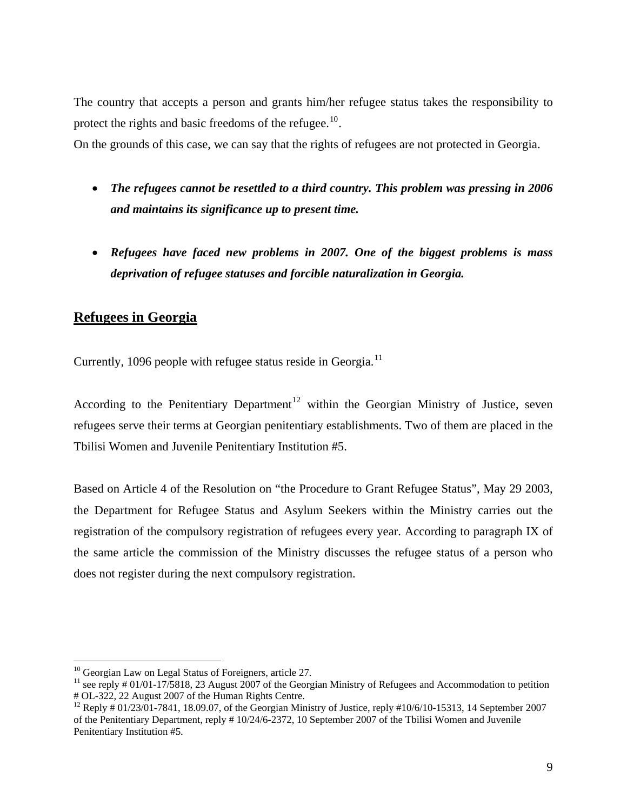The country that accepts a person and grants him/her refugee status takes the responsibility to protect the rights and basic freedoms of the refugee.<sup>[10](#page-8-0)</sup>.

On the grounds of this case, we can say that the rights of refugees are not protected in Georgia.

- *The refugees cannot be resettled to a third country. This problem was pressing in 2006 and maintains its significance up to present time.*
- *Refugees have faced new problems in 2007. One of the biggest problems is mass deprivation of refugee statuses and forcible naturalization in Georgia.*

## **Refugees in Georgia**

Currently, 1096 people with refugee status reside in Georgia.<sup>[11](#page-8-1)</sup>

According to the Penitentiary Department<sup>[12](#page-8-2)</sup> within the Georgian Ministry of Justice, seven refugees serve their terms at Georgian penitentiary establishments. Two of them are placed in the Tbilisi Women and Juvenile Penitentiary Institution #5.

Based on Article 4 of the Resolution on "the Procedure to Grant Refugee Status", May 29 2003, the Department for Refugee Status and Asylum Seekers within the Ministry carries out the registration of the compulsory registration of refugees every year. According to paragraph IX of the same article the commission of the Ministry discusses the refugee status of a person who does not register during the next compulsory registration.

<span id="page-8-0"></span> $10$  Georgian Law on Legal Status of Foreigners, article 27.

<span id="page-8-1"></span><sup>&</sup>lt;sup>11</sup> see reply # 01/01-17/5818, 23 August 2007 of the Georgian Ministry of Refugees and Accommodation to petition # OL-322, 22 August 2007 of the Human Rights Centre.

<span id="page-8-2"></span><sup>&</sup>lt;sup>12</sup> Reply # 01/23/01-7841, 18.09.07, of the Georgian Ministry of Justice, reply #10/6/10-15313, 14 September 2007 of the Penitentiary Department, reply # 10/24/6-2372, 10 September 2007 of the Tbilisi Women and Juvenile Penitentiary Institution #5.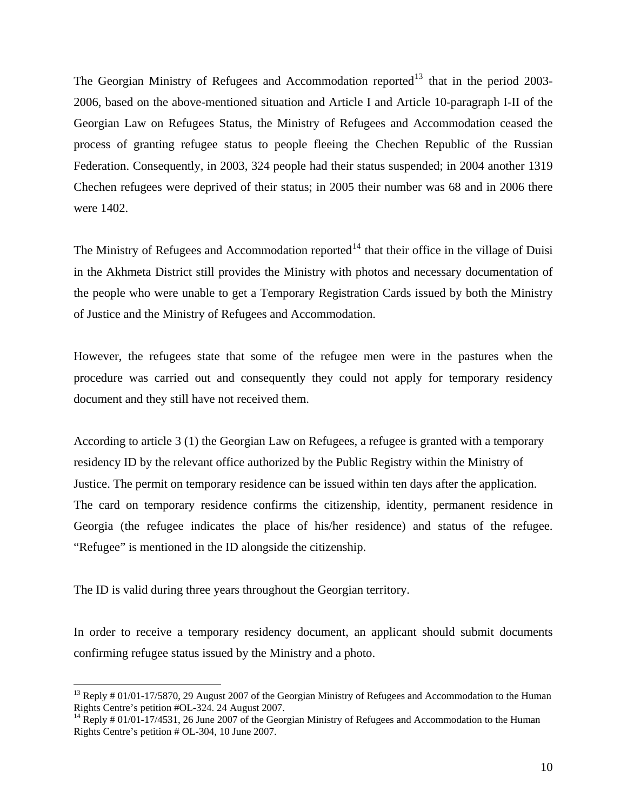The Georgian Ministry of Refugees and Accommodation reported<sup>[13](#page-9-0)</sup> that in the period 2003-2006, based on the above-mentioned situation and Article I and Article 10-paragraph I-II of the Georgian Law on Refugees Status, the Ministry of Refugees and Accommodation ceased the process of granting refugee status to people fleeing the Chechen Republic of the Russian Federation. Consequently, in 2003, 324 people had their status suspended; in 2004 another 1319 Chechen refugees were deprived of their status; in 2005 their number was 68 and in 2006 there were 1402.

The Ministry of Refugees and Accommodation reported<sup>[14](#page-9-1)</sup> that their office in the village of Duisi in the Akhmeta District still provides the Ministry with photos and necessary documentation of the people who were unable to get a Temporary Registration Cards issued by both the Ministry of Justice and the Ministry of Refugees and Accommodation.

However, the refugees state that some of the refugee men were in the pastures when the procedure was carried out and consequently they could not apply for temporary residency document and they still have not received them.

According to article 3 (1) the Georgian Law on Refugees, a refugee is granted with a temporary residency ID by the relevant office authorized by the Public Registry within the Ministry of Justice. The permit on temporary residence can be issued within ten days after the application. The card on temporary residence confirms the citizenship, identity, permanent residence in Georgia (the refugee indicates the place of his/her residence) and status of the refugee. "Refugee" is mentioned in the ID alongside the citizenship.

The ID is valid during three years throughout the Georgian territory.

 $\overline{a}$ 

In order to receive a temporary residency document, an applicant should submit documents confirming refugee status issued by the Ministry and a photo.

<span id="page-9-0"></span> $^{13}$  Reply # 01/01-17/5870, 29 August 2007 of the Georgian Ministry of Refugees and Accommodation to the Human Rights Centre's petition #OL-324. 24 August 2007.

<span id="page-9-1"></span><sup>&</sup>lt;sup>14</sup> Reply # 01/01-17/4531, 26 June 2007 of the Georgian Ministry of Refugees and Accommodation to the Human Rights Centre's petition # OL-304, 10 June 2007.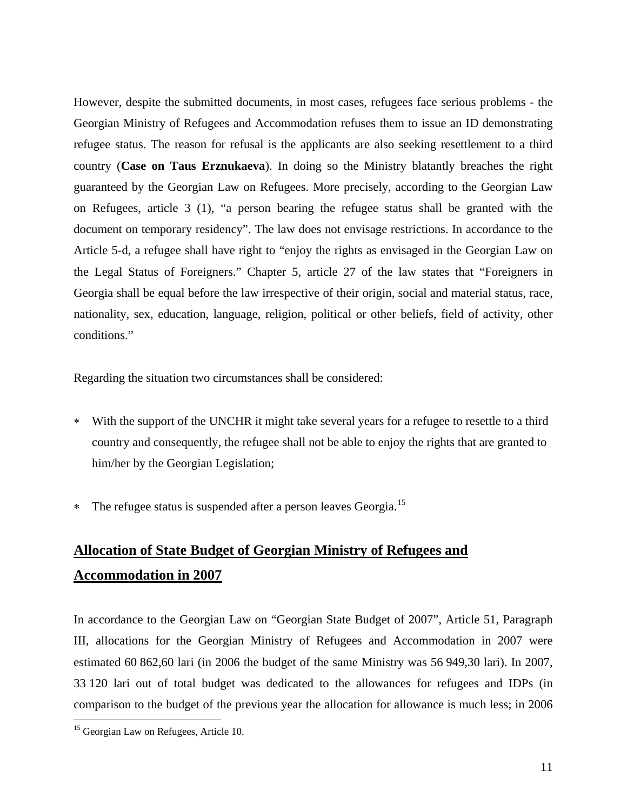However, despite the submitted documents, in most cases, refugees face serious problems - the Georgian Ministry of Refugees and Accommodation refuses them to issue an ID demonstrating refugee status. The reason for refusal is the applicants are also seeking resettlement to a third country (**Case on Taus Erznukaeva**). In doing so the Ministry blatantly breaches the right guaranteed by the Georgian Law on Refugees. More precisely, according to the Georgian Law on Refugees, article 3 (1), "a person bearing the refugee status shall be granted with the document on temporary residency". The law does not envisage restrictions. In accordance to the Article 5-d, a refugee shall have right to "enjoy the rights as envisaged in the Georgian Law on the Legal Status of Foreigners." Chapter 5, article 27 of the law states that "Foreigners in Georgia shall be equal before the law irrespective of their origin, social and material status, race, nationality, sex, education, language, religion, political or other beliefs, field of activity, other conditions."

Regarding the situation two circumstances shall be considered:

- ∗ With the support of the UNCHR it might take several years for a refugee to resettle to a third country and consequently, the refugee shall not be able to enjoy the rights that are granted to him/her by the Georgian Legislation;
- ∗ The refugee status is suspended after a person leaves Georgia.[15](#page-10-0)

# **Allocation of State Budget of Georgian Ministry of Refugees and Accommodation in 2007**

In accordance to the Georgian Law on "Georgian State Budget of 2007", Article 51, Paragraph III, allocations for the Georgian Ministry of Refugees and Accommodation in 2007 were estimated 60 862,60 lari (in 2006 the budget of the same Ministry was 56 949,30 lari). In 2007, 33 120 lari out of total budget was dedicated to the allowances for refugees and IDPs (in comparison to the budget of the previous year the allocation for allowance is much less; in 2006

<span id="page-10-0"></span><sup>&</sup>lt;sup>15</sup> Georgian Law on Refugees, Article 10.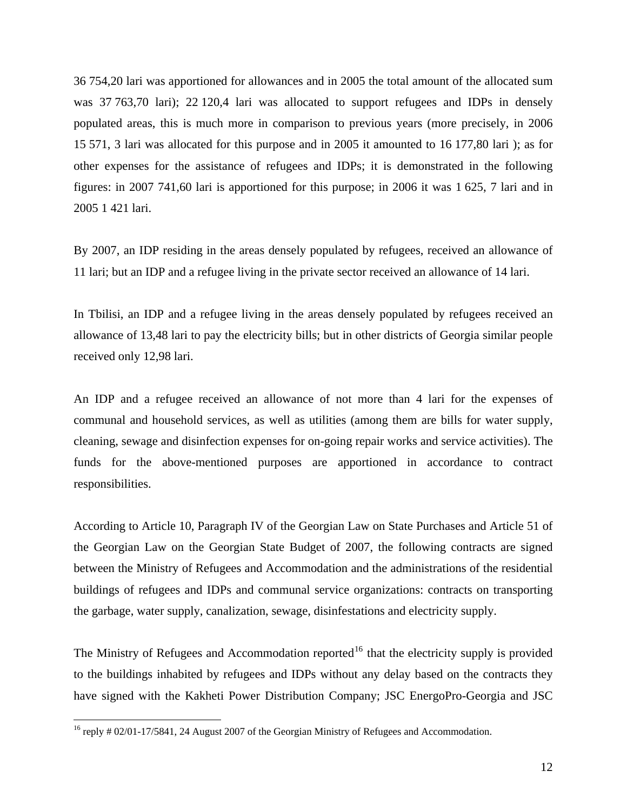36 754,20 lari was apportioned for allowances and in 2005 the total amount of the allocated sum was 37 763,70 lari); 22 120,4 lari was allocated to support refugees and IDPs in densely populated areas, this is much more in comparison to previous years (more precisely, in 2006 15 571, 3 lari was allocated for this purpose and in 2005 it amounted to 16 177,80 lari ); as for other expenses for the assistance of refugees and IDPs; it is demonstrated in the following figures: in 2007 741,60 lari is apportioned for this purpose; in 2006 it was 1 625, 7 lari and in 2005 1 421 lari.

By 2007, an IDP residing in the areas densely populated by refugees, received an allowance of 11 lari; but an IDP and a refugee living in the private sector received an allowance of 14 lari.

In Tbilisi, an IDP and a refugee living in the areas densely populated by refugees received an allowance of 13,48 lari to pay the electricity bills; but in other districts of Georgia similar people received only 12,98 lari.

An IDP and a refugee received an allowance of not more than 4 lari for the expenses of communal and household services, as well as utilities (among them are bills for water supply, cleaning, sewage and disinfection expenses for on-going repair works and service activities). The funds for the above-mentioned purposes are apportioned in accordance to contract responsibilities.

According to Article 10, Paragraph IV of the Georgian Law on State Purchases and Article 51 of the Georgian Law on the Georgian State Budget of 2007, the following contracts are signed between the Ministry of Refugees and Accommodation and the administrations of the residential buildings of refugees and IDPs and communal service organizations: contracts on transporting the garbage, water supply, canalization, sewage, disinfestations and electricity supply.

The Ministry of Refugees and Accommodation reported<sup>[16](#page-11-0)</sup> that the electricity supply is provided to the buildings inhabited by refugees and IDPs without any delay based on the contracts they have signed with the Kakheti Power Distribution Company; JSC EnergoPro-Georgia and JSC

<span id="page-11-0"></span><sup>&</sup>lt;sup>16</sup> reply # 02/01-17/5841, 24 August 2007 of the Georgian Ministry of Refugees and Accommodation.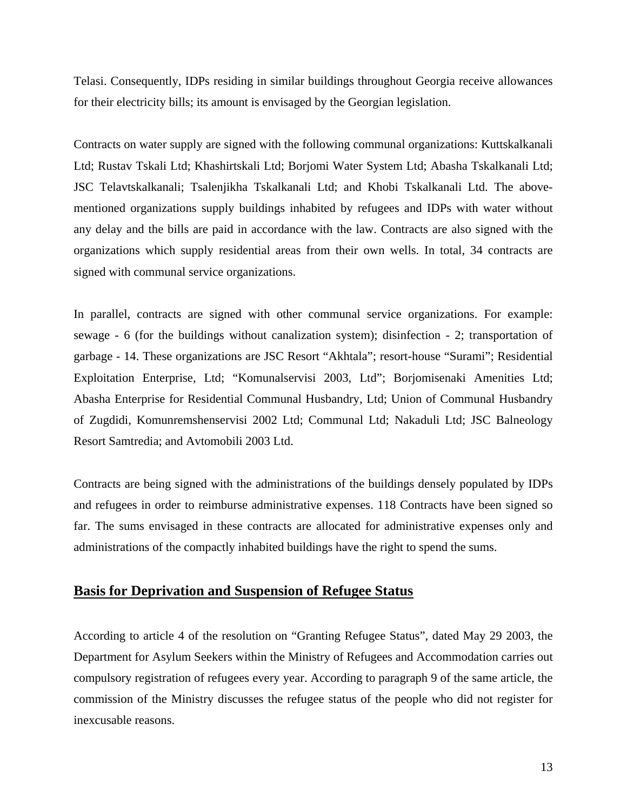Telasi. Consequently, IDPs residing in similar buildings throughout Georgia receive allowances for their electricity bills; its amount is envisaged by the Georgian legislation.

Contracts on water supply are signed with the following communal organizations: Kuttskalkanali Ltd; Rustav Tskali Ltd; Khashirtskali Ltd; Borjomi Water System Ltd; Abasha Tskalkanali Ltd; JSC Telavtskalkanali; Tsalenjikha Tskalkanali Ltd; and Khobi Tskalkanali Ltd. The abovementioned organizations supply buildings inhabited by refugees and IDPs with water without any delay and the bills are paid in accordance with the law. Contracts are also signed with the organizations which supply residential areas from their own wells. In total, 34 contracts are signed with communal service organizations.

In parallel, contracts are signed with other communal service organizations. For example: sewage - 6 (for the buildings without canalization system); disinfection - 2; transportation of garbage - 14. These organizations are JSC Resort "Akhtala"; resort-house "Surami"; Residential Exploitation Enterprise, Ltd; "Komunalservisi 2003, Ltd"; Borjomisenaki Amenities Ltd; Abasha Enterprise for Residential Communal Husbandry, Ltd; Union of Communal Husbandry of Zugdidi, Komunremshenservisi 2002 Ltd; Communal Ltd; Nakaduli Ltd; JSC Balneology Resort Samtredia; and Avtomobili 2003 Ltd.

Contracts are being signed with the administrations of the buildings densely populated by IDPs and refugees in order to reimburse administrative expenses. 118 Contracts have been signed so far. The sums envisaged in these contracts are allocated for administrative expenses only and administrations of the compactly inhabited buildings have the right to spend the sums.

## **Basis for Deprivation and Suspension of Refugee Status**

According to article 4 of the resolution on "Granting Refugee Status", dated May 29 2003, the Department for Asylum Seekers within the Ministry of Refugees and Accommodation carries out compulsory registration of refugees every year. According to paragraph 9 of the same article, the commission of the Ministry discusses the refugee status of the people who did not register for inexcusable reasons.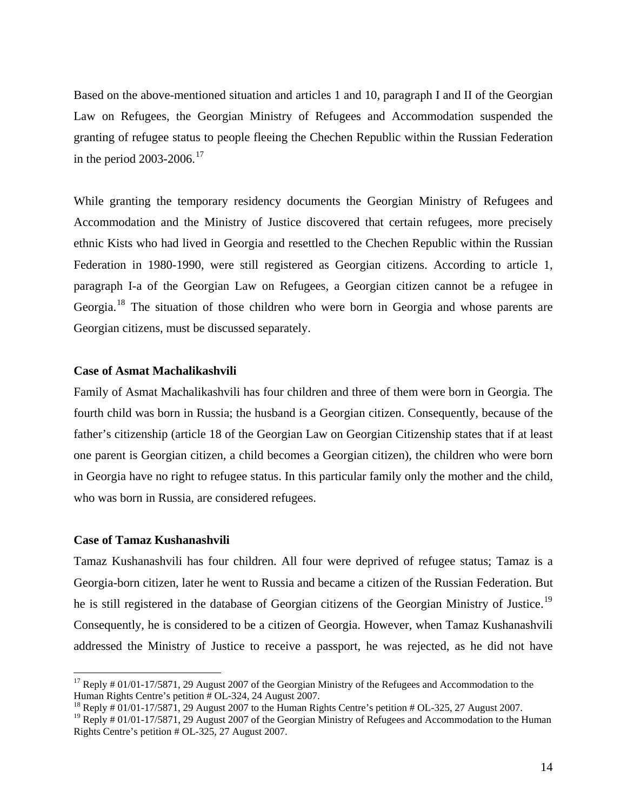Based on the above-mentioned situation and articles 1 and 10, paragraph I and II of the Georgian Law on Refugees, the Georgian Ministry of Refugees and Accommodation suspended the granting of refugee status to people fleeing the Chechen Republic within the Russian Federation in the period  $2003-2006$ <sup>[17](#page-13-0)</sup>

While granting the temporary residency documents the Georgian Ministry of Refugees and Accommodation and the Ministry of Justice discovered that certain refugees, more precisely ethnic Kists who had lived in Georgia and resettled to the Chechen Republic within the Russian Federation in 1980-1990, were still registered as Georgian citizens. According to article 1, paragraph I-a of the Georgian Law on Refugees, a Georgian citizen cannot be a refugee in Georgia.[18](#page-13-1) The situation of those children who were born in Georgia and whose parents are Georgian citizens, must be discussed separately.

#### **Case of Asmat Machalikashvili**

Family of Asmat Machalikashvili has four children and three of them were born in Georgia. The fourth child was born in Russia; the husband is a Georgian citizen. Consequently, because of the father's citizenship (article 18 of the Georgian Law on Georgian Citizenship states that if at least one parent is Georgian citizen, a child becomes a Georgian citizen), the children who were born in Georgia have no right to refugee status. In this particular family only the mother and the child, who was born in Russia, are considered refugees.

#### **Case of Tamaz Kushanashvili**

1

Tamaz Kushanashvili has four children. All four were deprived of refugee status; Tamaz is a Georgia-born citizen, later he went to Russia and became a citizen of the Russian Federation. But he is still registered in the database of Georgian citizens of the Georgian Ministry of Justice.<sup>[19](#page-13-2)</sup> Consequently, he is considered to be a citizen of Georgia. However, when Tamaz Kushanashvili addressed the Ministry of Justice to receive a passport, he was rejected, as he did not have

<span id="page-13-0"></span> $17$  Reply # 01/01-17/5871, 29 August 2007 of the Georgian Ministry of the Refugees and Accommodation to the Human Rights Centre's petition # OL-324, 24 August 2007.

<span id="page-13-1"></span><sup>&</sup>lt;sup>18</sup> Reply  $\#$  01/01-17/5871, 29 August 2007 to the Human Rights Centre's petition  $\#$  OL-325, 27 August 2007.

<span id="page-13-2"></span> $19$  Reply # 01/01-17/5871, 29 August 2007 of the Georgian Ministry of Refugees and Accommodation to the Human Rights Centre's petition # OL-325, 27 August 2007.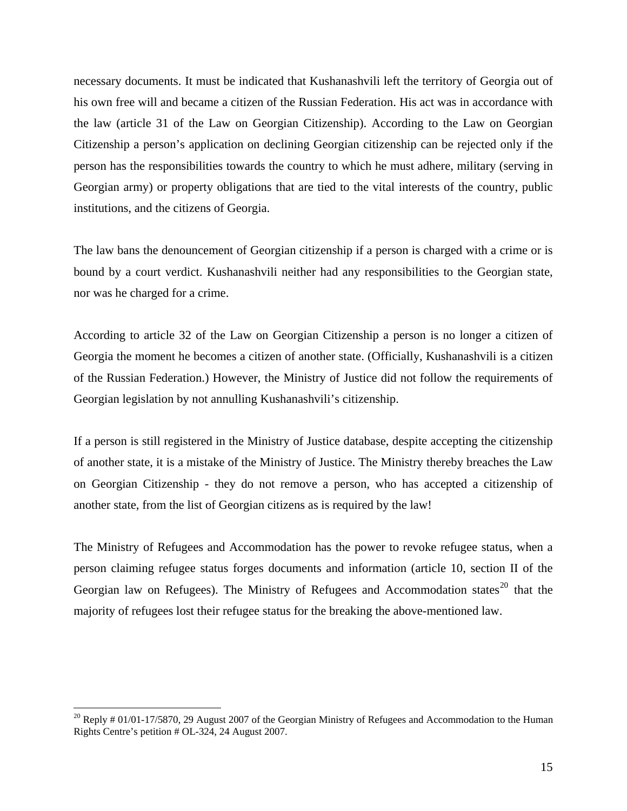necessary documents. It must be indicated that Kushanashvili left the territory of Georgia out of his own free will and became a citizen of the Russian Federation. His act was in accordance with the law (article 31 of the Law on Georgian Citizenship). According to the Law on Georgian Citizenship a person's application on declining Georgian citizenship can be rejected only if the person has the responsibilities towards the country to which he must adhere, military (serving in Georgian army) or property obligations that are tied to the vital interests of the country, public institutions, and the citizens of Georgia.

The law bans the denouncement of Georgian citizenship if a person is charged with a crime or is bound by a court verdict. Kushanashvili neither had any responsibilities to the Georgian state, nor was he charged for a crime.

According to article 32 of the Law on Georgian Citizenship a person is no longer a citizen of Georgia the moment he becomes a citizen of another state. (Officially, Kushanashvili is a citizen of the Russian Federation.) However, the Ministry of Justice did not follow the requirements of Georgian legislation by not annulling Kushanashvili's citizenship.

If a person is still registered in the Ministry of Justice database, despite accepting the citizenship of another state, it is a mistake of the Ministry of Justice. The Ministry thereby breaches the Law on Georgian Citizenship - they do not remove a person, who has accepted a citizenship of another state, from the list of Georgian citizens as is required by the law!

The Ministry of Refugees and Accommodation has the power to revoke refugee status, when a person claiming refugee status forges documents and information (article 10, section II of the Georgian law on Refugees). The Ministry of Refugees and Accommodation states $^{20}$  $^{20}$  $^{20}$  that the majority of refugees lost their refugee status for the breaking the above-mentioned law.

1

<span id="page-14-0"></span> $20$  Reply # 01/01-17/5870, 29 August 2007 of the Georgian Ministry of Refugees and Accommodation to the Human Rights Centre's petition # OL-324, 24 August 2007.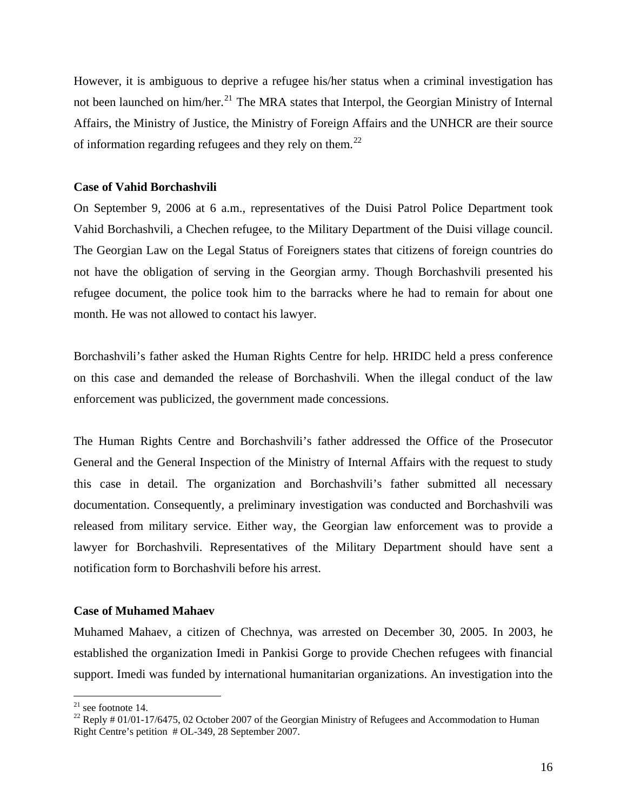However, it is ambiguous to deprive a refugee his/her status when a criminal investigation has not been launched on him/her.<sup>[21](#page-15-0)</sup> The MRA states that Interpol, the Georgian Ministry of Internal Affairs, the Ministry of Justice, the Ministry of Foreign Affairs and the UNHCR are their source of information regarding refugees and they rely on them.<sup>[22](#page-15-1)</sup>

#### **Case of Vahid Borchashvili**

On September 9, 2006 at 6 a.m., representatives of the Duisi Patrol Police Department took Vahid Borchashvili, a Chechen refugee, to the Military Department of the Duisi village council. The Georgian Law on the Legal Status of Foreigners states that citizens of foreign countries do not have the obligation of serving in the Georgian army. Though Borchashvili presented his refugee document, the police took him to the barracks where he had to remain for about one month. He was not allowed to contact his lawyer.

Borchashvili's father asked the Human Rights Centre for help. HRIDC held a press conference on this case and demanded the release of Borchashvili. When the illegal conduct of the law enforcement was publicized, the government made concessions.

The Human Rights Centre and Borchashvili's father addressed the Office of the Prosecutor General and the General Inspection of the Ministry of Internal Affairs with the request to study this case in detail. The organization and Borchashvili's father submitted all necessary documentation. Consequently, a preliminary investigation was conducted and Borchashvili was released from military service. Either way, the Georgian law enforcement was to provide a lawyer for Borchashvili. Representatives of the Military Department should have sent a notification form to Borchashvili before his arrest.

#### **Case of Muhamed Mahaev**

Muhamed Mahaev, a citizen of Chechnya, was arrested on December 30, 2005. In 2003, he established the organization Imedi in Pankisi Gorge to provide Chechen refugees with financial support. Imedi was funded by international humanitarian organizations. An investigation into the

 $21$  see footnote 14.

<span id="page-15-1"></span><span id="page-15-0"></span><sup>&</sup>lt;sup>22</sup> Reply  $\#$  01/01-17/6475, 02 October 2007 of the Georgian Ministry of Refugees and Accommodation to Human Right Centre's petition # OL-349, 28 September 2007.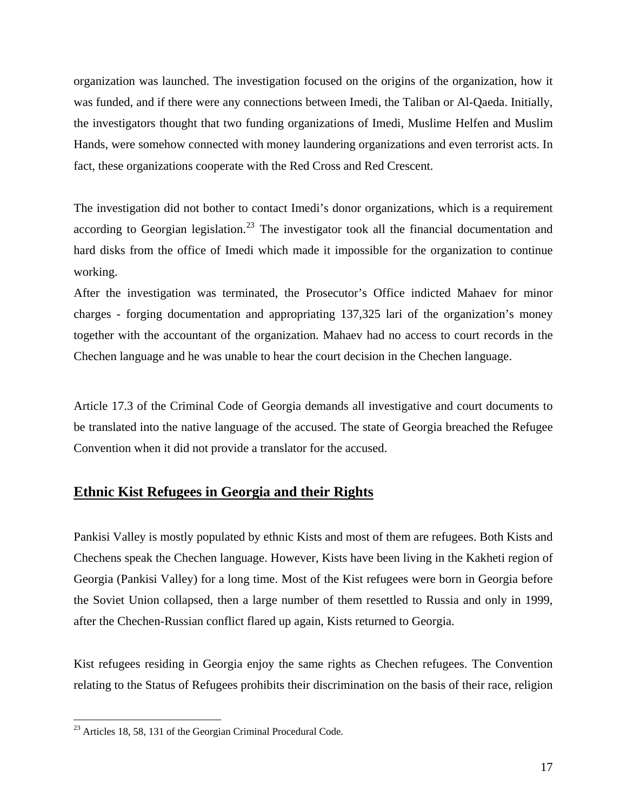organization was launched. The investigation focused on the origins of the organization, how it was funded, and if there were any connections between Imedi, the Taliban or Al-Qaeda. Initially, the investigators thought that two funding organizations of Imedi, Muslime Helfen and Muslim Hands, were somehow connected with money laundering organizations and even terrorist acts. In fact, these organizations cooperate with the Red Cross and Red Crescent.

The investigation did not bother to contact Imedi's donor organizations, which is a requirement according to Georgian legislation.<sup>[23](#page-16-0)</sup> The investigator took all the financial documentation and hard disks from the office of Imedi which made it impossible for the organization to continue working.

After the investigation was terminated, the Prosecutor's Office indicted Mahaev for minor charges - forging documentation and appropriating 137,325 lari of the organization's money together with the accountant of the organization. Mahaev had no access to court records in the Chechen language and he was unable to hear the court decision in the Chechen language.

Article 17.3 of the Criminal Code of Georgia demands all investigative and court documents to be translated into the native language of the accused. The state of Georgia breached the Refugee Convention when it did not provide a translator for the accused.

# **Ethnic Kist Refugees in Georgia and their Rights**

Pankisi Valley is mostly populated by ethnic Kists and most of them are refugees. Both Kists and Chechens speak the Chechen language. However, Kists have been living in the Kakheti region of Georgia (Pankisi Valley) for a long time. Most of the Kist refugees were born in Georgia before the Soviet Union collapsed, then a large number of them resettled to Russia and only in 1999, after the Chechen-Russian conflict flared up again, Kists returned to Georgia.

Kist refugees residing in Georgia enjoy the same rights as Chechen refugees. The Convention relating to the Status of Refugees prohibits their discrimination on the basis of their race, religion

<span id="page-16-0"></span> $^{23}$  Articles 18, 58, 131 of the Georgian Criminal Procedural Code.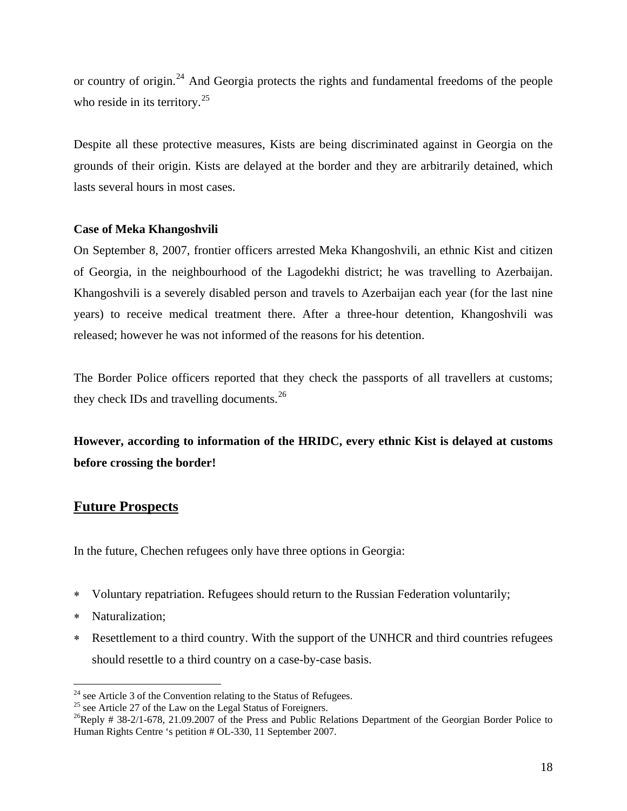or country of origin.<sup>[24](#page-17-0)</sup> And Georgia protects the rights and fundamental freedoms of the people who reside in its territory. $25$ 

Despite all these protective measures, Kists are being discriminated against in Georgia on the grounds of their origin. Kists are delayed at the border and they are arbitrarily detained, which lasts several hours in most cases.

## **Case of Meka Khangoshvili**

On September 8, 2007, frontier officers arrested Meka Khangoshvili, an ethnic Kist and citizen of Georgia, in the neighbourhood of the Lagodekhi district; he was travelling to Azerbaijan. Khangoshvili is a severely disabled person and travels to Azerbaijan each year (for the last nine years) to receive medical treatment there. After a three-hour detention, Khangoshvili was released; however he was not informed of the reasons for his detention.

The Border Police officers reported that they check the passports of all travellers at customs; they check IDs and travelling documents.<sup>[26](#page-17-2)</sup>

# **However, according to information of the HRIDC, every ethnic Kist is delayed at customs before crossing the border!**

# **Future Prospects**

In the future, Chechen refugees only have three options in Georgia:

- ∗ Voluntary repatriation. Refugees should return to the Russian Federation voluntarily;
- ∗ Naturalization;

<u>.</u>

∗ Resettlement to a third country. With the support of the UNHCR and third countries refugees should resettle to a third country on a case-by-case basis.

<span id="page-17-0"></span> $^{24}$  see Article 3 of the Convention relating to the Status of Refugees.

<span id="page-17-1"></span> $25$  see Article 27 of the Law on the Legal Status of Foreigners.

<span id="page-17-2"></span><sup>&</sup>lt;sup>26</sup>Reply # 38-2/1-678, 21.09.2007 of the Press and Public Relations Department of the Georgian Border Police to Human Rights Centre 's petition # OL-330, 11 September 2007.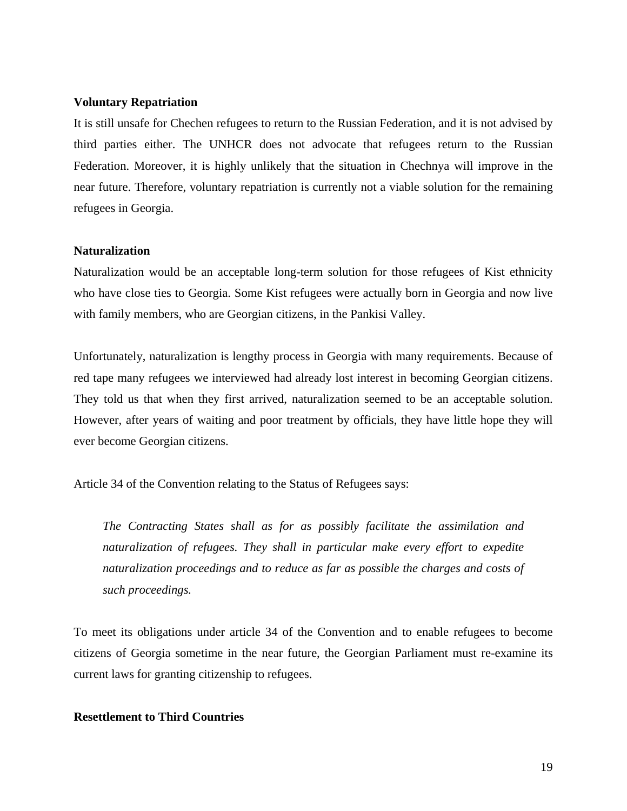#### **Voluntary Repatriation**

It is still unsafe for Chechen refugees to return to the Russian Federation, and it is not advised by third parties either. The UNHCR does not advocate that refugees return to the Russian Federation. Moreover, it is highly unlikely that the situation in Chechnya will improve in the near future. Therefore, voluntary repatriation is currently not a viable solution for the remaining refugees in Georgia.

#### **Naturalization**

Naturalization would be an acceptable long-term solution for those refugees of Kist ethnicity who have close ties to Georgia. Some Kist refugees were actually born in Georgia and now live with family members, who are Georgian citizens, in the Pankisi Valley.

Unfortunately, naturalization is lengthy process in Georgia with many requirements. Because of red tape many refugees we interviewed had already lost interest in becoming Georgian citizens. They told us that when they first arrived, naturalization seemed to be an acceptable solution. However, after years of waiting and poor treatment by officials, they have little hope they will ever become Georgian citizens.

Article 34 of the Convention relating to the Status of Refugees says:

*The Contracting States shall as for as possibly facilitate the assimilation and naturalization of refugees. They shall in particular make every effort to expedite naturalization proceedings and to reduce as far as possible the charges and costs of such proceedings.* 

To meet its obligations under article 34 of the Convention and to enable refugees to become citizens of Georgia sometime in the near future, the Georgian Parliament must re-examine its current laws for granting citizenship to refugees.

#### **Resettlement to Third Countries**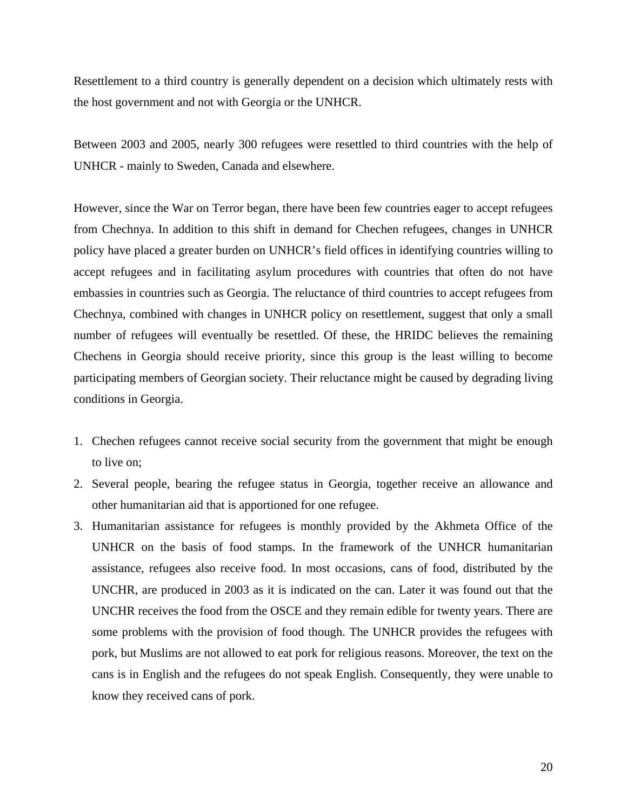Resettlement to a third country is generally dependent on a decision which ultimately rests with the host government and not with Georgia or the UNHCR.

Between 2003 and 2005, nearly 300 refugees were resettled to third countries with the help of UNHCR - mainly to Sweden, Canada and elsewhere.

However, since the War on Terror began, there have been few countries eager to accept refugees from Chechnya. In addition to this shift in demand for Chechen refugees, changes in UNHCR policy have placed a greater burden on UNHCR's field offices in identifying countries willing to accept refugees and in facilitating asylum procedures with countries that often do not have embassies in countries such as Georgia. The reluctance of third countries to accept refugees from Chechnya, combined with changes in UNHCR policy on resettlement, suggest that only a small number of refugees will eventually be resettled. Of these, the HRIDC believes the remaining Chechens in Georgia should receive priority, since this group is the least willing to become participating members of Georgian society. Their reluctance might be caused by degrading living conditions in Georgia.

- 1. Chechen refugees cannot receive social security from the government that might be enough to live on;
- 2. Several people, bearing the refugee status in Georgia, together receive an allowance and other humanitarian aid that is apportioned for one refugee.
- 3. Humanitarian assistance for refugees is monthly provided by the Akhmeta Office of the UNHCR on the basis of food stamps. In the framework of the UNHCR humanitarian assistance, refugees also receive food. In most occasions, cans of food, distributed by the UNCHR, are produced in 2003 as it is indicated on the can. Later it was found out that the UNCHR receives the food from the OSCE and they remain edible for twenty years. There are some problems with the provision of food though. The UNHCR provides the refugees with pork, but Muslims are not allowed to eat pork for religious reasons. Moreover, the text on the cans is in English and the refugees do not speak English. Consequently, they were unable to know they received cans of pork.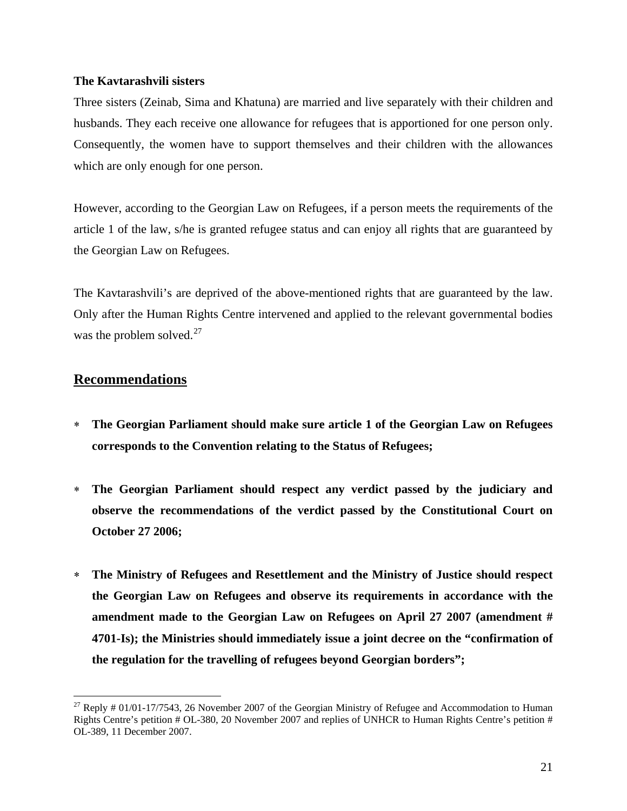#### **The Kavtarashvili sisters**

Three sisters (Zeinab, Sima and Khatuna) are married and live separately with their children and husbands. They each receive one allowance for refugees that is apportioned for one person only. Consequently, the women have to support themselves and their children with the allowances which are only enough for one person.

However, according to the Georgian Law on Refugees, if a person meets the requirements of the article 1 of the law, s/he is granted refugee status and can enjoy all rights that are guaranteed by the Georgian Law on Refugees.

The Kavtarashvili's are deprived of the above-mentioned rights that are guaranteed by the law. Only after the Human Rights Centre intervened and applied to the relevant governmental bodies was the problem solved. $27$ 

# **Recommendations**

- ∗ **The Georgian Parliament should make sure article 1 of the Georgian Law on Refugees corresponds to the Convention relating to the Status of Refugees;**
- ∗ **The Georgian Parliament should respect any verdict passed by the judiciary and observe the recommendations of the verdict passed by the Constitutional Court on October 27 2006;**
- ∗ **The Ministry of Refugees and Resettlement and the Ministry of Justice should respect the Georgian Law on Refugees and observe its requirements in accordance with the amendment made to the Georgian Law on Refugees on April 27 2007 (amendment # 4701-Is); the Ministries should immediately issue a joint decree on the "confirmation of the regulation for the travelling of refugees beyond Georgian borders";**

<span id="page-20-0"></span> $27$  Reply # 01/01-17/7543, 26 November 2007 of the Georgian Ministry of Refugee and Accommodation to Human Rights Centre's petition # OL-380, 20 November 2007 and replies of UNHCR to Human Rights Centre's petition # OL-389, 11 December 2007.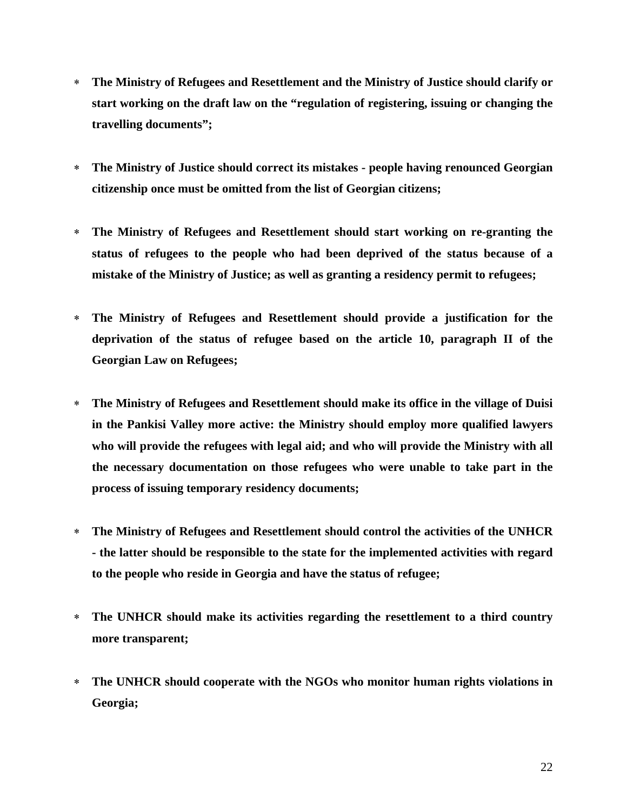- ∗ **The Ministry of Refugees and Resettlement and the Ministry of Justice should clarify or start working on the draft law on the "regulation of registering, issuing or changing the travelling documents";**
- ∗ **The Ministry of Justice should correct its mistakes people having renounced Georgian citizenship once must be omitted from the list of Georgian citizens;**
- ∗ **The Ministry of Refugees and Resettlement should start working on re-granting the status of refugees to the people who had been deprived of the status because of a mistake of the Ministry of Justice; as well as granting a residency permit to refugees;**
- ∗ **The Ministry of Refugees and Resettlement should provide a justification for the deprivation of the status of refugee based on the article 10, paragraph II of the Georgian Law on Refugees;**
- ∗ **The Ministry of Refugees and Resettlement should make its office in the village of Duisi in the Pankisi Valley more active: the Ministry should employ more qualified lawyers who will provide the refugees with legal aid; and who will provide the Ministry with all the necessary documentation on those refugees who were unable to take part in the process of issuing temporary residency documents;**
- ∗ **The Ministry of Refugees and Resettlement should control the activities of the UNHCR - the latter should be responsible to the state for the implemented activities with regard to the people who reside in Georgia and have the status of refugee;**
- ∗ **The UNHCR should make its activities regarding the resettlement to a third country more transparent;**
- ∗ **The UNHCR should cooperate with the NGOs who monitor human rights violations in Georgia;**